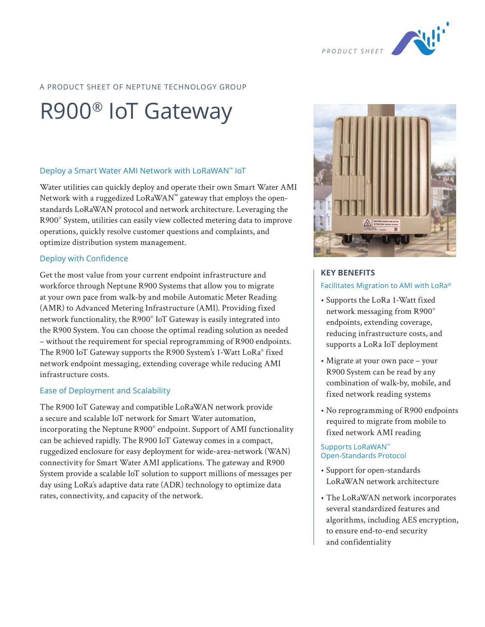

### A PRODUCT SHEET OF NEPTUNE TECHNOLOGY GROUP

# R900® IoT Gateway

#### Deploy a Smart Water AMI Network with LoRaWAN™ IoT

Water utilities can quickly deploy and operate their own Smart Water AMI Network with a ruggedized LoRaWAN™ gateway that employs the openstandards LoRaWAN protocol and network architecture. Leveraging the R900® System, utilities can easily view collected metering data to improve operations, quickly resolve customer questions and complaints, and optimize distribution system management.

#### Deploy with Confidence

Get the most value from your current endpoint infrastructure and workforce through Neptune R900 Systems that allow you to migrate at your own pace from walk-by and mobile Automatic Meter Reading (AMR) to Advanced Metering Infrastructure (AMI). Providing fixed network functionality, the R900® IoT Gateway is easily integrated into the R900 System. You can choose the optimal reading solution as needed – without the requirement for special reprogramming of R900 endpoints. The R900 IoT Gateway supports the R900 System's 1-Watt LoRa® fixed network endpoint messaging, extending coverage while reducing AMI infrastructure costs.

#### Ease of Deployment and Scalability

The R900 IoT Gateway and compatible LoRaWAN network provide a secure and scalable IoT network for Smart Water automation, incorporating the Neptune R900® endpoint. Support of AMI functionality can be achieved rapidly. The R900 IoT Gateway comes in a compact, ruggedized enclosure for easy deployment for wide-area-network (WAN) connectivity for Smart Water AMI applications. The gateway and R900 System provide a scalable IoT solution to support millions of messages per day using LoRa's adaptive data rate (ADR) technology to optimize data rates, connectivity, and capacity of the network.



#### **KEY BENEFITS**

#### Facilitates Migration to AMI with LoRa®

- Supports the LoRa 1-Watt fixed network messaging from R900® endpoints, extending coverage, reducing infrastructure costs, and supports a LoRa IoT deployment
- Migrate at your own pace your R900 System can be read by any combination of walk-by, mobile, and fixed network reading systems
- No reprogramming of R900 endpoints required to migrate from mobile to fixed network AMI reading

#### Supports LoRaWAN™ Open-Standards Protocol

- Support for open-standards LoRaWAN network architecture
- The LoRaWAN network incorporates several standardized features and algorithms, including AES encryption, to ensure end-to-end security and confidentiality